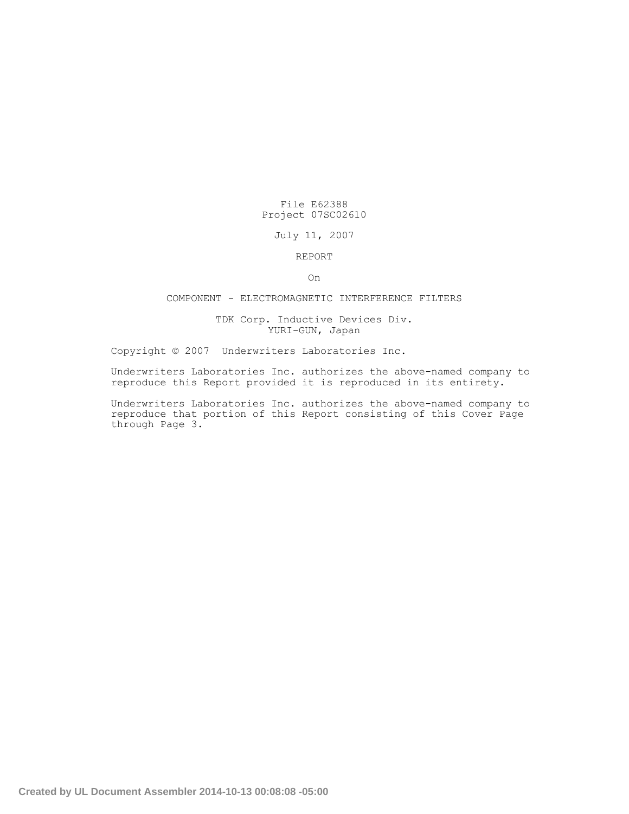# File E62388 Project 07SC02610

### July 11, 2007

## REPORT

On

## COMPONENT - ELECTROMAGNETIC INTERFERENCE FILTERS

#### TDK Corp. Inductive Devices Div. YURI-GUN, Japan

Copyright © 2007 Underwriters Laboratories Inc.

Underwriters Laboratories Inc. authorizes the above-named company to reproduce this Report provided it is reproduced in its entirety.

Underwriters Laboratories Inc. authorizes the above-named company to reproduce that portion of this Report consisting of this Cover Page through Page 3.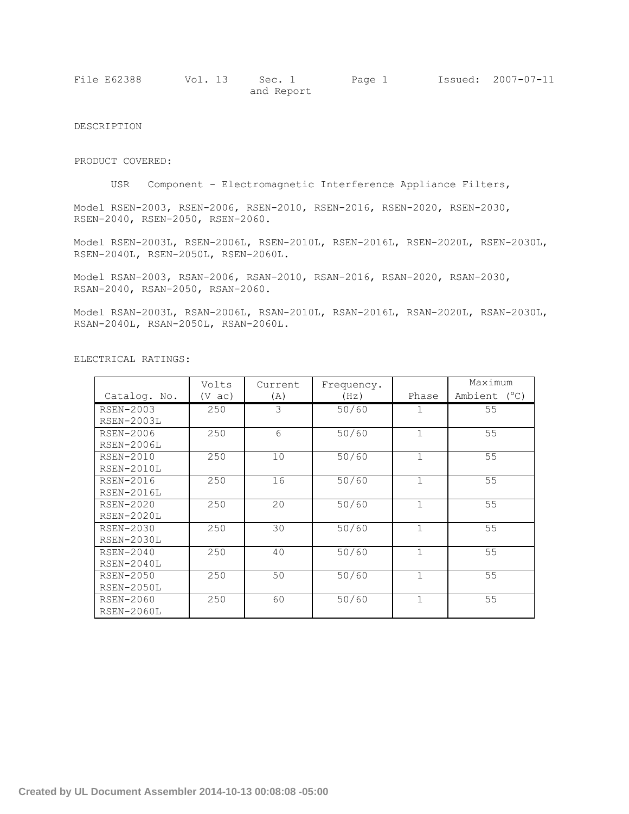| File E62388 | Vol. 13 Sec. 1 |            | Page 1 | Issued: 2007-07-11 |
|-------------|----------------|------------|--------|--------------------|
|             |                | and Report |        |                    |

DESCRIPTION

PRODUCT COVERED:

USR Component - Electromagnetic Interference Appliance Filters,

Model RSEN-2003, RSEN-2006, RSEN-2010, RSEN-2016, RSEN-2020, RSEN-2030, RSEN-2040, RSEN-2050, RSEN-2060.

Model RSEN-2003L, RSEN-2006L, RSEN-2010L, RSEN-2016L, RSEN-2020L, RSEN-2030L, RSEN-2040L, RSEN-2050L, RSEN-2060L.

Model RSAN-2003, RSAN-2006, RSAN-2010, RSAN-2016, RSAN-2020, RSAN-2030, RSAN-2040, RSAN-2050, RSAN-2060.

Model RSAN-2003L, RSAN-2006L, RSAN-2010L, RSAN-2016L, RSAN-2020L, RSAN-2030L, RSAN-2040L, RSAN-2050L, RSAN-2060L.

|                   | Volts            | Current | Frequency. |              | Maximum      |
|-------------------|------------------|---------|------------|--------------|--------------|
| Catalog. No.      | $(V \text{ ac})$ | (A)     | (Hz)       | Phase        | Ambient (°C) |
| <b>RSEN-2003</b>  | 250              | 3       | 50/60      |              | 55           |
| RSEN-2003L        |                  |         |            |              |              |
| <b>RSEN-2006</b>  | 250              | 6       | 50/60      | 1            | 55           |
| <b>RSEN-2006L</b> |                  |         |            |              |              |
| <b>RSEN-2010</b>  | 250              | 10      | 50/60      | $\mathbf{1}$ | 55           |
| RSEN-2010L        |                  |         |            |              |              |
| <b>RSEN-2016</b>  | 250              | 16      | 50/60      | 1            | 55           |
| RSEN-2016L        |                  |         |            |              |              |
| RSEN-2020         | 250              | 20      | 50/60      | 1            | 55           |
| RSEN-2020L        |                  |         |            |              |              |
| <b>RSEN-2030</b>  | 250              | 30      | 50/60      | $\mathbf{1}$ | 55           |
| <b>RSEN-2030L</b> |                  |         |            |              |              |
| RSEN-2040         | 250              | 40      | 50/60      | $\mathbf{1}$ | 55           |
| RSEN-2040L        |                  |         |            |              |              |
| <b>RSEN-2050</b>  | 250              | 50      | 50/60      | 1            | 55           |
| RSEN-2050L        |                  |         |            |              |              |
| RSEN-2060         | 250              | 60      | 50/60      | $\mathbf{1}$ | 55           |
| <b>RSEN-2060L</b> |                  |         |            |              |              |

ELECTRICAL RATINGS: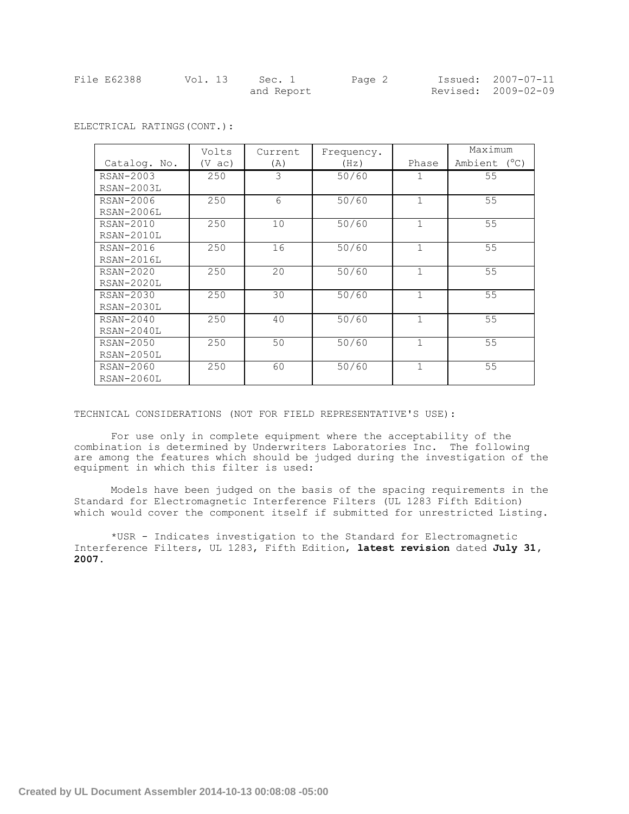| File E62388 | Vol. 13 | Sec. 1     | Page 2 | Issued: 2007-07-11  |
|-------------|---------|------------|--------|---------------------|
|             |         | and Report |        | Revised: 2009-02-09 |

|                   | Volts            | Current | Frequency. |              | Maximum      |  |
|-------------------|------------------|---------|------------|--------------|--------------|--|
| Catalog. No.      | $(V \text{ ac})$ | (A)     | (Hz)       | Phase        | Ambient (°C) |  |
| RSAN-2003         | 250              | 3       | 50/60      | 1            | 55           |  |
| <b>RSAN-2003L</b> |                  |         |            |              |              |  |
| RSAN-2006         | 250              | 6       | 50/60      | $\mathbf{1}$ | 55           |  |
| <b>RSAN-2006L</b> |                  |         |            |              |              |  |
| RSAN-2010         | 250              | 10      | 50/60      | $\mathbf{1}$ | 55           |  |
| RSAN-2010L        |                  |         |            |              |              |  |
| RSAN-2016         | 250              | 16      | 50/60      | $\mathbf 1$  | 55           |  |
| RSAN-2016L        |                  |         |            |              |              |  |
| RSAN-2020         | 250              | 20      | 50/60      | $\mathbf{1}$ | 55           |  |
| RSAN-2020L        |                  |         |            |              |              |  |
| RSAN-2030         | 250              | 30      | 50/60      | $\mathbf{1}$ | 55           |  |
| $RSAN-2030L$      |                  |         |            |              |              |  |
| RSAN-2040         | 250              | 40      | 50/60      | $\mathbf 1$  | 55           |  |
| RSAN-2040L        |                  |         |            |              |              |  |
| RSAN-2050         | 250              | 50      | 50/60      | $\mathbf{1}$ | 55           |  |
| RSAN-2050L        |                  |         |            |              |              |  |
| RSAN-2060         | 250              | 60      | 50/60      | $\mathbf{1}$ | 55           |  |
| <b>RSAN-2060L</b> |                  |         |            |              |              |  |

ELECTRICAL RATINGS(CONT.):

TECHNICAL CONSIDERATIONS (NOT FOR FIELD REPRESENTATIVE'S USE):

For use only in complete equipment where the acceptability of the combination is determined by Underwriters Laboratories Inc. The following are among the features which should be judged during the investigation of the equipment in which this filter is used:

Models have been judged on the basis of the spacing requirements in the Standard for Electromagnetic Interference Filters (UL 1283 Fifth Edition) which would cover the component itself if submitted for unrestricted Listing.

\*USR - Indicates investigation to the Standard for Electromagnetic Interference Filters, UL 1283, Fifth Edition, **latest revision** dated **July 31, 2007.**